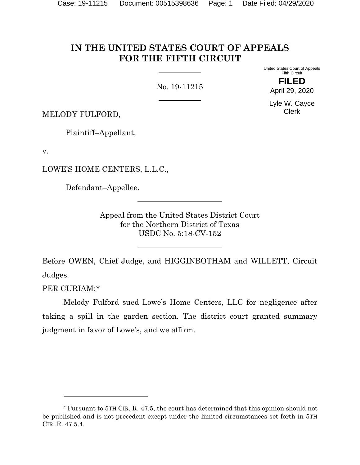# **IN THE UNITED STATES COURT OF APPEALS FOR THE FIFTH CIRCUIT**

No. 19-11215

United States Court of Appeals Fifth Circuit

> **FILED** April 29, 2020

Lyle W. Cayce Clerk

MELODY FULFORD,

Plaintiff–Appellant,

v.

LOWE'S HOME CENTERS, L.L.C.,

Defendant–Appellee.

Appeal from the United States District Court for the Northern District of Texas USDC No. 5:18-CV-152

Before OWEN, Chief Judge, and HIGGINBOTHAM and WILLETT, Circuit Judges.

PER CURIAM:[\\*](#page-0-0)

Melody Fulford sued Lowe's Home Centers, LLC for negligence after taking a spill in the garden section. The district court granted summary judgment in favor of Lowe's, and we affirm.

<span id="page-0-0"></span><sup>\*</sup> Pursuant to 5TH CIR. R. 47.5, the court has determined that this opinion should not be published and is not precedent except under the limited circumstances set forth in 5TH CIR. R. 47.5.4.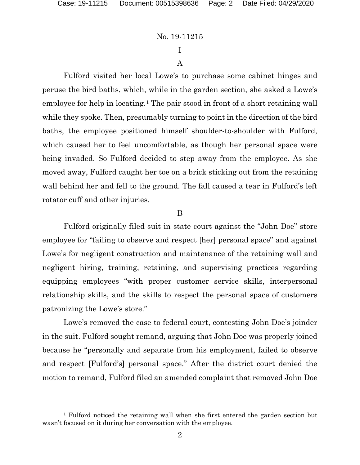# I A

Fulford visited her local Lowe's to purchase some cabinet hinges and peruse the bird baths, which, while in the garden section, she asked a Lowe's employee for help in locating.<sup>[1](#page-1-0)</sup> The pair stood in front of a short retaining wall while they spoke. Then, presumably turning to point in the direction of the bird baths, the employee positioned himself shoulder-to-shoulder with Fulford, which caused her to feel uncomfortable, as though her personal space were being invaded. So Fulford decided to step away from the employee. As she moved away, Fulford caught her toe on a brick sticking out from the retaining wall behind her and fell to the ground. The fall caused a tear in Fulford's left rotator cuff and other injuries.

#### B

Fulford originally filed suit in state court against the "John Doe" store employee for "failing to observe and respect [her] personal space" and against Lowe's for negligent construction and maintenance of the retaining wall and negligent hiring, training, retaining, and supervising practices regarding equipping employees "with proper customer service skills, interpersonal relationship skills, and the skills to respect the personal space of customers patronizing the Lowe's store."

Lowe's removed the case to federal court, contesting John Doe's joinder in the suit. Fulford sought remand, arguing that John Doe was properly joined because he "personally and separate from his employment, failed to observe and respect [Fulford's] personal space." After the district court denied the motion to remand, Fulford filed an amended complaint that removed John Doe

<span id="page-1-0"></span><sup>1</sup> Fulford noticed the retaining wall when she first entered the garden section but wasn't focused on it during her conversation with the employee.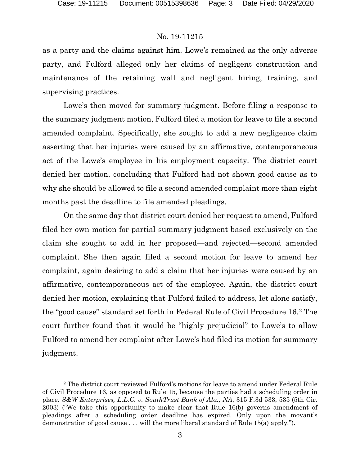as a party and the claims against him. Lowe's remained as the only adverse party, and Fulford alleged only her claims of negligent construction and maintenance of the retaining wall and negligent hiring, training, and supervising practices.

Lowe's then moved for summary judgment. Before filing a response to the summary judgment motion, Fulford filed a motion for leave to file a second amended complaint. Specifically, she sought to add a new negligence claim asserting that her injuries were caused by an affirmative, contemporaneous act of the Lowe's employee in his employment capacity. The district court denied her motion, concluding that Fulford had not shown good cause as to why she should be allowed to file a second amended complaint more than eight months past the deadline to file amended pleadings.

On the same day that district court denied her request to amend, Fulford filed her own motion for partial summary judgment based exclusively on the claim she sought to add in her proposed—and rejected—second amended complaint. She then again filed a second motion for leave to amend her complaint, again desiring to add a claim that her injuries were caused by an affirmative, contemporaneous act of the employee. Again, the district court denied her motion, explaining that Fulford failed to address, let alone satisfy, the "good cause" standard set forth in Federal Rule of Civil Procedure 16.[2](#page-2-0) The court further found that it would be "highly prejudicial" to Lowe's to allow Fulford to amend her complaint after Lowe's had filed its motion for summary judgment.

<span id="page-2-0"></span><sup>2</sup> The district court reviewed Fulford's motions for leave to amend under Federal Rule of Civil Procedure 16, as opposed to Rule 15, because the parties had a scheduling order in place. *S&W Enterprises, L.L.C. v. SouthTrust Bank of Ala., NA*, 315 F.3d 533, 535 (5th Cir. 2003) ("We take this opportunity to make clear that Rule 16(b) governs amendment of pleadings after a scheduling order deadline has expired. Only upon the movant's demonstration of good cause . . . will the more liberal standard of Rule 15(a) apply.").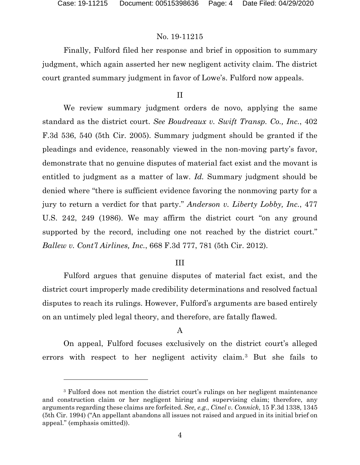Finally, Fulford filed her response and brief in opposition to summary judgment, which again asserted her new negligent activity claim. The district court granted summary judgment in favor of Lowe's. Fulford now appeals.

#### II

We review summary judgment orders de novo, applying the same standard as the district court. *See Boudreaux v. Swift Transp. Co., Inc.*, 402 F.3d 536, 540 (5th Cir. 2005). Summary judgment should be granted if the pleadings and evidence, reasonably viewed in the non-moving party's favor, demonstrate that no genuine disputes of material fact exist and the movant is entitled to judgment as a matter of law. *Id.* Summary judgment should be denied where "there is sufficient evidence favoring the nonmoving party for a jury to return a verdict for that party." *Anderson v. Liberty Lobby, Inc.*, 477 U.S. 242, 249 (1986). We may affirm the district court "on any ground supported by the record, including one not reached by the district court." *Ballew v. Cont'l Airlines, Inc.*, 668 F.3d 777, 781 (5th Cir. 2012).

#### III

Fulford argues that genuine disputes of material fact exist, and the district court improperly made credibility determinations and resolved factual disputes to reach its rulings. However, Fulford's arguments are based entirely on an untimely pled legal theory, and therefore, are fatally flawed.

## A

On appeal, Fulford focuses exclusively on the district court's alleged errors with respect to her negligent activity claim.[3](#page-3-0) But she fails to

<span id="page-3-0"></span><sup>3</sup> Fulford does not mention the district court's rulings on her negligent maintenance and construction claim or her negligent hiring and supervising claim; therefore, any arguments regarding these claims are forfeited. *See, e.g.*, *Cinel v. Connick*, 15 F.3d 1338, 1345 (5th Cir. 1994) ("An appellant abandons all issues not raised and argued in its initial brief on appeal." (emphasis omitted)).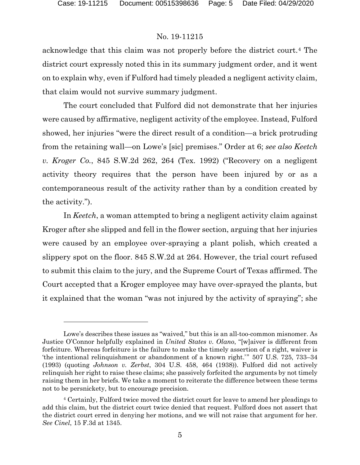acknowledge that this claim was not properly before the district court.[4](#page-4-0) The district court expressly noted this in its summary judgment order, and it went on to explain why, even if Fulford had timely pleaded a negligent activity claim, that claim would not survive summary judgment.

The court concluded that Fulford did not demonstrate that her injuries were caused by affirmative, negligent activity of the employee. Instead, Fulford showed, her injuries "were the direct result of a condition—a brick protruding from the retaining wall—on Lowe's [sic] premises." Order at 6; *see also Keetch v. Kroger Co.*, 845 S.W.2d 262, 264 (Tex. 1992) ("Recovery on a negligent activity theory requires that the person have been injured by or as a contemporaneous result of the activity rather than by a condition created by the activity.").

In *Keetch*, a woman attempted to bring a negligent activity claim against Kroger after she slipped and fell in the flower section, arguing that her injuries were caused by an employee over-spraying a plant polish, which created a slippery spot on the floor. 845 S.W.2d at 264. However, the trial court refused to submit this claim to the jury, and the Supreme Court of Texas affirmed. The Court accepted that a Kroger employee may have over-sprayed the plants, but it explained that the woman "was not injured by the activity of spraying"; she

Lowe's describes these issues as "waived," but this is an all-too-common misnomer. As Justice O'Connor helpfully explained in *United States v. Olano*, "[w]aiver is different from forfeiture. Whereas forfeiture is the failure to make the timely assertion of a right, waiver is 'the intentional relinquishment or abandonment of a known right.'" 507 U.S. 725, 733–34 (1993) (quoting *Johnson v. Zerbst*, 304 U.S. 458, 464 (1938)). Fulford did not actively relinquish her right to raise these claims; she passively forfeited the arguments by not timely raising them in her briefs. We take a moment to reiterate the difference between these terms not to be persnickety, but to encourage precision.

<span id="page-4-0"></span><sup>4</sup> Certainly, Fulford twice moved the district court for leave to amend her pleadings to add this claim, but the district court twice denied that request. Fulford does not assert that the district court erred in denying her motions, and we will not raise that argument for her. *See Cinel*, 15 F.3d at 1345.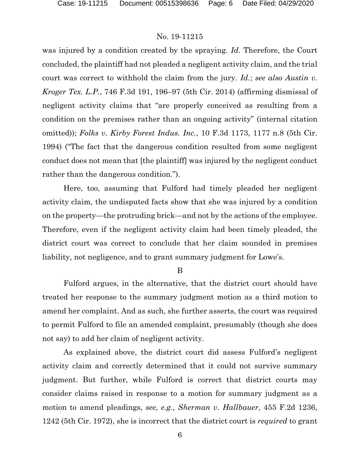was injured by a condition created by the spraying. *Id.* Therefore, the Court concluded, the plaintiff had not pleaded a negligent activity claim, and the trial court was correct to withhold the claim from the jury. *Id.*; *see also Austin v. Kroger Tex. L.P.*, 746 F.3d 191, 196–97 (5th Cir. 2014) (affirming dismissal of negligent activity claims that "are properly conceived as resulting from a condition on the premises rather than an ongoing activity" (internal citation omitted)); *Folks v. Kirby Forest Indus. Inc.*, 10 F.3d 1173, 1177 n.8 (5th Cir. 1994) ("The fact that the dangerous condition resulted from some negligent conduct does not mean that [the plaintiff] was injured by the negligent conduct rather than the dangerous condition.").

Here, too, assuming that Fulford had timely pleaded her negligent activity claim, the undisputed facts show that she was injured by a condition on the property—the protruding brick—and not by the actions of the employee. Therefore, even if the negligent activity claim had been timely pleaded, the district court was correct to conclude that her claim sounded in premises liability, not negligence, and to grant summary judgment for Lowe's.

B

Fulford argues, in the alternative, that the district court should have treated her response to the summary judgment motion as a third motion to amend her complaint. And as such, she further asserts, the court was required to permit Fulford to file an amended complaint, presumably (though she does not say) to add her claim of negligent activity.

As explained above, the district court did assess Fulford's negligent activity claim and correctly determined that it could not survive summary judgment. But further, while Fulford is correct that district courts may consider claims raised in response to a motion for summary judgment as a motion to amend pleadings, *see, e.g.*, *Sherman v. Hallbauer*, 455 F.2d 1236, 1242 (5th Cir. 1972), she is incorrect that the district court is *required* to grant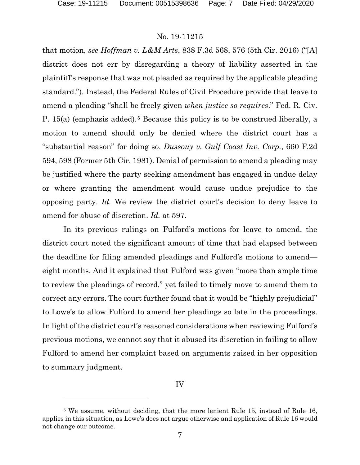that motion, *see Hoffman v. L&M Arts*, 838 F.3d 568, 576 (5th Cir. 2016) ("[A] district does not err by disregarding a theory of liability asserted in the plaintiff's response that was not pleaded as required by the applicable pleading standard."). Instead, the Federal Rules of Civil Procedure provide that leave to amend a pleading "shall be freely given *when justice so requires*." Fed. R. Civ. P. 15(a) (emphasis added).[5](#page-6-0) Because this policy is to be construed liberally, a motion to amend should only be denied where the district court has a "substantial reason" for doing so. *Dussouy v. Gulf Coast Inv. Corp.*, 660 F.2d 594, 598 (Former 5th Cir. 1981). Denial of permission to amend a pleading may be justified where the party seeking amendment has engaged in undue delay or where granting the amendment would cause undue prejudice to the opposing party. *Id.* We review the district court's decision to deny leave to amend for abuse of discretion. *Id.* at 597.

In its previous rulings on Fulford's motions for leave to amend, the district court noted the significant amount of time that had elapsed between the deadline for filing amended pleadings and Fulford's motions to amend eight months. And it explained that Fulford was given "more than ample time to review the pleadings of record," yet failed to timely move to amend them to correct any errors. The court further found that it would be "highly prejudicial" to Lowe's to allow Fulford to amend her pleadings so late in the proceedings. In light of the district court's reasoned considerations when reviewing Fulford's previous motions, we cannot say that it abused its discretion in failing to allow Fulford to amend her complaint based on arguments raised in her opposition to summary judgment.

IV

<span id="page-6-0"></span><sup>5</sup> We assume, without deciding, that the more lenient Rule 15, instead of Rule 16, applies in this situation, as Lowe's does not argue otherwise and application of Rule 16 would not change our outcome.